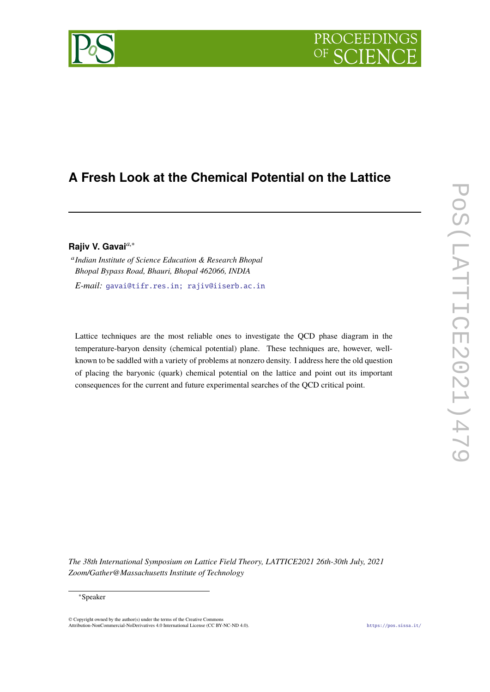# PROCEEDIN

## **A Fresh Look at the Chemical Potential on the Lattice**

### **Rajiv V. Gavai***a*,<sup>∗</sup>

a *Indian Institute of Science Education & Research Bhopal Bhopal Bypass Road, Bhauri, Bhopal 462066, INDIA*

*E-mail:* [gavai@tifr.res.in; rajiv@iiserb.ac.in](mailto:gavai@tifr.res.in; rajiv@iiserb.ac.in)

Lattice techniques are the most reliable ones to investigate the QCD phase diagram in the temperature-baryon density (chemical potential) plane. These techniques are, however, wellknown to be saddled with a variety of problems at nonzero density. I address here the old question of placing the baryonic (quark) chemical potential on the lattice and point out its important consequences for the current and future experimental searches of the QCD critical point.

*The 38th International Symposium on Lattice Field Theory, LATTICE2021 26th-30th July, 2021 Zoom/Gather@Massachusetts Institute of Technology*

© Copyright owned by the author(s) under the terms of the Creative Commons Attribution-NonCommercial-NoDerivatives 4.0 International License (CC BY-NC-ND 4.0). <https://pos.sissa.it/>

<sup>∗</sup>Speaker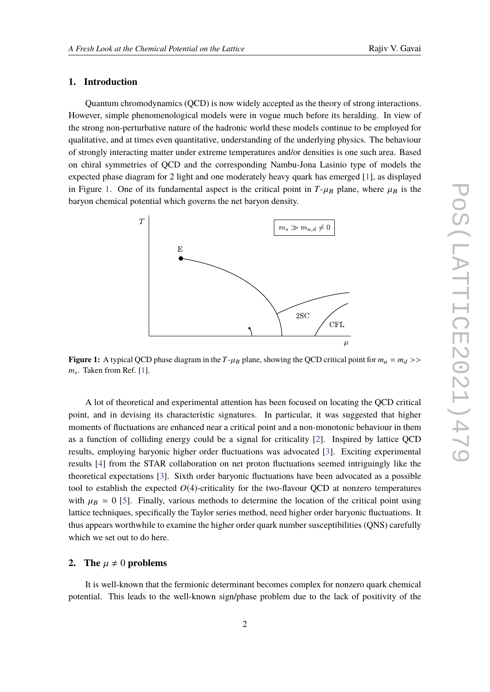### **1. Introduction**

Quantum chromodynamics (QCD) is now widely accepted as the theory of strong interactions. However, simple phenomenological models were in vogue much before its heralding. In view of the strong non-perturbative nature of the hadronic world these models continue to be employed for qualitative, and at times even quantitative, understanding of the underlying physics. The behaviour of strongly interacting matter under extreme temperatures and/or densities is one such area. Based on chiral symmetries of QCD and the corresponding Nambu-Jona Lasinio type of models the expected phase diagram for 2 light and one moderately heavy quark has emerged [\[1\]](#page-7-0), as displayed in Figure [1.](#page-1-0) One of its fundamental aspect is the critical point in  $T-\mu_B$  plane, where  $\mu_B$  is the baryon chemical potential which governs the net baryon density.

<span id="page-1-0"></span>

**Figure 1:** A typical QCD phase diagram in the  $T-\mu_B$  plane, showing the QCD critical point for  $m_u = m_d$  >> *m*s. Taken from Ref. [\[1\]](#page-7-0).

A lot of theoretical and experimental attention has been focused on locating the QCD critical point, and in devising its characteristic signatures. In particular, it was suggested that higher moments of fluctuations are enhanced near a critical point and a non-monotonic behaviour in them as a function of colliding energy could be a signal for criticality [\[2\]](#page-7-1). Inspired by lattice QCD results, employing baryonic higher order fluctuations was advocated [\[3\]](#page-7-2). Exciting experimental results [\[4\]](#page-7-3) from the STAR collaboration on net proton fluctuations seemed intriguingly like the theoretical expectations [\[3\]](#page-7-2). Sixth order baryonic fluctuations have been advocated as a possible tool to establish the expected  $O(4)$ -criticality for the two-flavour QCD at nonzero temperatures with  $\mu_B = 0$  [\[5\]](#page-7-4). Finally, various methods to determine the location of the critical point using lattice techniques, specifically the Taylor series method, need higher order baryonic fluctuations. It thus appears worthwhile to examine the higher order quark number susceptibilities (QNS) carefully which we set out to do here.

#### **2.** The  $\mu \neq 0$  problems

It is well-known that the fermionic determinant becomes complex for nonzero quark chemical potential. This leads to the well-known sign/phase problem due to the lack of positivity of the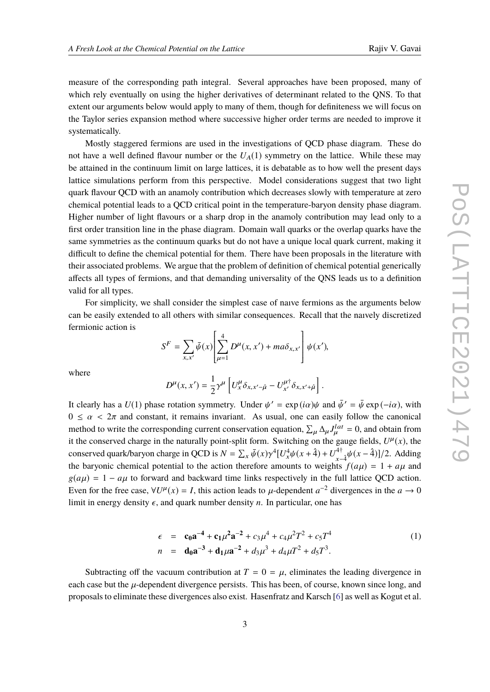measure of the corresponding path integral. Several approaches have been proposed, many of which rely eventually on using the higher derivatives of determinant related to the QNS. To that extent our arguments below would apply to many of them, though for definiteness we will focus on the Taylor series expansion method where successive higher order terms are needed to improve it systematically.

Mostly staggered fermions are used in the investigations of QCD phase diagram. These do not have a well defined flavour number or the  $U_A(1)$  symmetry on the lattice. While these may be attained in the continuum limit on large lattices, it is debatable as to how well the present days lattice simulations perform from this perspective. Model considerations suggest that two light quark flavour QCD with an anamoly contribution which decreases slowly with temperature at zero chemical potential leads to a QCD critical point in the temperature-baryon density phase diagram. Higher number of light flavours or a sharp drop in the anamoly contribution may lead only to a first order transition line in the phase diagram. Domain wall quarks or the overlap quarks have the same symmetries as the continuum quarks but do not have a unique local quark current, making it difficult to define the chemical potential for them. There have been proposals in the literature with their associated problems. We argue that the problem of definition of chemical potential generically affects all types of fermions, and that demanding universality of the QNS leads us to a definition valid for all types.

For simplicity, we shall consider the simplest case of naıve fermions as the arguments below can be easily extended to all others with similar consequences. Recall that the naıvely discretized fermionic action is

$$
S^{F} = \sum_{x,x'} \bar{\psi}(x) \left[ \sum_{\mu=1}^{4} D^{\mu}(x,x') + ma \delta_{x,x'} \right] \psi(x'),
$$

where

$$
D^{\mu}(x, x') = \frac{1}{2} \gamma^{\mu} \left[ U^{\mu}_x \delta_{x, x' - \hat{\mu}} - U^{\mu \dagger}_{x'} \delta_{x, x' + \hat{\mu}} \right].
$$

It clearly has a  $U(1)$  phase rotation symmetry. Under  $\psi' = \exp(i\alpha)\psi$  and  $\bar{\psi}' = \bar{\psi} \exp(-i\alpha)$ , with  $0 \le \alpha < 2\pi$  and constant, it remains invariant. As usual, one can easily follow the canonical method to write the corresponding current conservation equation,  $\sum_{\mu} \Delta_{\mu} J_{\mu}^{lat} = 0$ , and obtain from it the conserved charge in the naturally point-split form. Switching on the gauge fields,  $U^{\mu}(x)$ , the conserved quark/baryon charge in QCD is  $N = \sum_{x} \bar{\psi}(x) \gamma^4 [U_x^4 \psi(x + \hat{4}) + U_{x-4}^{4\dagger}]$ <sup>4†</sup><sub> $x-4$ </sub>  $\psi(x-4)$ ]/2. Adding the baryonic chemical potential to the action therefore amounts to weights  $f(a\mu) = 1 + a\mu$  and  $g(a\mu) = 1 - a\mu$  to forward and backward time links respectively in the full lattice QCD action. Even for the free case,  $\forall U^{\mu}(x) = I$ , this action leads to  $\mu$ -dependent  $a^{-2}$  divergences in the  $a \to 0$ limit in energy density  $\epsilon$ , and quark number density *n*. In particular, one has

<span id="page-2-0"></span>
$$
\epsilon = \mathbf{c_0} \mathbf{a}^{-4} + \mathbf{c_1} \mu^2 \mathbf{a}^{-2} + c_3 \mu^4 + c_4 \mu^2 T^2 + c_5 T^4
$$
  
\n
$$
n = \mathbf{d_0} \mathbf{a}^{-3} + \mathbf{d_1} \mu \mathbf{a}^{-2} + d_3 \mu^3 + d_4 \mu T^2 + d_5 T^3.
$$
 (1)

Subtracting off the vacuum contribution at  $T = 0 = \mu$ , eliminates the leading divergence in each case but the  $\mu$ -dependent divergence persists. This has been, of course, known since long, and proposals to eliminate these divergences also exist. Hasenfratz and Karsch [\[6\]](#page-7-5) as well as Kogut et al.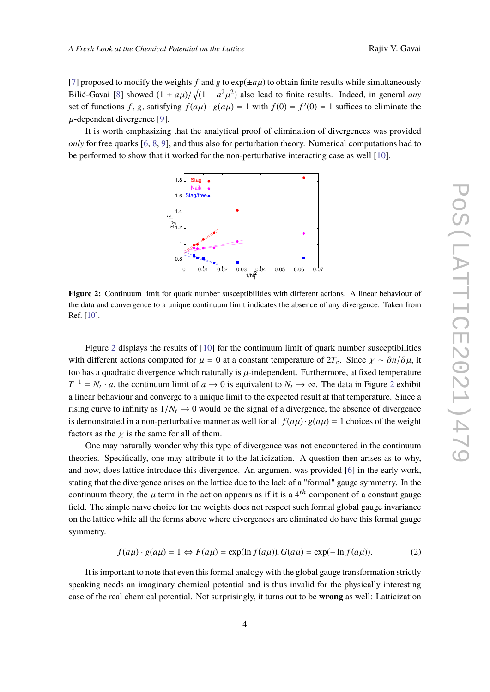[\[7\]](#page-7-6) proposed to modify the weights f and g to  $exp(\pm a\mu)$  to obtain finite results while simultaneously Bilić-Gavai [\[8\]](#page-7-7) showed  $(1 \pm a\mu)/\sqrt{(1 - a^2\mu^2)}$  also lead to finite results. Indeed, in general *any*<br>set of functions f a satisfying  $f(x)$  a( $x(x) = 1$  with  $f(0) = f'(0) = 1$  suffices to eliminate the set of functions *f*, *g*, satisfying  $f(a\mu) \cdot g(a\mu) = 1$  with  $f(0) = f'(0) = 1$  suffices to eliminate the  $\mu$ -dependent divergence [\[9\]](#page-7-8).

<span id="page-3-0"></span>It is worth emphasizing that the analytical proof of elimination of divergences was provided *only* for free quarks [\[6,](#page-7-5) [8,](#page-7-7) [9\]](#page-7-8), and thus also for perturbation theory. Numerical computations had to be performed to show that it worked for the non-perturbative interacting case as well [\[10\]](#page-7-9).



**Figure 2:** Continuum limit for quark number susceptibilities with different actions. A linear behaviour of the data and convergence to a unique continuum limit indicates the absence of any divergence. Taken from Ref. [\[10\]](#page-7-9).

Figure [2](#page-3-0) displays the results of [\[10\]](#page-7-9) for the continuum limit of quark number susceptibilities with different actions computed for  $\mu = 0$  at a constant temperature of  $2T_c$ . Since  $\chi \sim \partial n/\partial \mu$ , it too has a quadratic divergence which naturally is  $\mu$ -independent. Furthermore, at fixed temperature  $T^{-1} = N_t \cdot a$ , the continuum limit of  $a \to 0$  is equivalent to  $N_t \to \infty$ . The data in Figure [2](#page-3-0) exhibit a linear behaviour and converge to a unique limit to the expected result at that temperature. Since a rising curve to infinity as  $1/N_t \rightarrow 0$  would be the signal of a divergence, the absence of divergence is demonstrated in a non-perturbative manner as well for all  $f(a\mu) \cdot g(a\mu) = 1$  choices of the weight factors as the  $\chi$  is the same for all of them.

One may naturally wonder why this type of divergence was not encountered in the continuum theories. Specifically, one may attribute it to the latticization. A question then arises as to why, and how, does lattice introduce this divergence. An argument was provided [\[6\]](#page-7-5) in the early work, stating that the divergence arises on the lattice due to the lack of a "formal" gauge symmetry. In the continuum theory, the  $\mu$  term in the action appears as if it is a 4<sup>th</sup> component of a constant gauge field. The simple naıve choice for the weights does not respect such formal global gauge invariance on the lattice while all the forms above where divergences are eliminated do have this formal gauge symmetry.

$$
f(a\mu) \cdot g(a\mu) = 1 \Leftrightarrow F(a\mu) = \exp(\ln f(a\mu)), G(a\mu) = \exp(-\ln f(a\mu)).
$$
 (2)

It is important to note that even this formal analogy with the global gauge transformation strictly speaking needs an imaginary chemical potential and is thus invalid for the physically interesting case of the real chemical potential. Not surprisingly, it turns out to be **wrong** as well: Latticization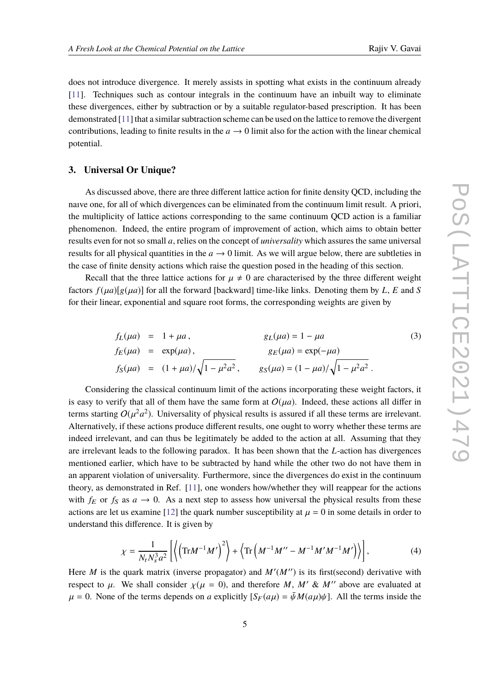does not introduce divergence. It merely assists in spotting what exists in the continuum already [\[11\]](#page-7-10). Techniques such as contour integrals in the continuum have an inbuilt way to eliminate these divergences, either by subtraction or by a suitable regulator-based prescription. It has been demonstrated [\[11\]](#page-7-10) that a similar subtraction scheme can be used on the lattice to remove the divergent contributions, leading to finite results in the  $a \rightarrow 0$  limit also for the action with the linear chemical potential.

#### **3. Universal Or Unique?**

As discussed above, there are three different lattice action for finite density QCD, including the naıve one, for all of which divergences can be eliminated from the continuum limit result. A priori, the multiplicity of lattice actions corresponding to the same continuum QCD action is a familiar phenomenon. Indeed, the entire program of improvement of action, which aims to obtain better results even for not so small *a*, relies on the concept of *universality* which assures the same universal results for all physical quantities in the  $a \rightarrow 0$  limit. As we will argue below, there are subtleties in the case of finite density actions which raise the question posed in the heading of this section.

Recall that the three lattice actions for  $\mu \neq 0$  are characterised by the three different weight factors  $f(\mu a)[g(\mu a)]$  for all the forward [backward] time-like links. Denoting them by *L*, *E* and *S* for their linear, exponential and square root forms, the corresponding weights are given by

$$
f_L(\mu a) = 1 + \mu a, \qquad g_L(\mu a) = 1 - \mu a \qquad (3)
$$
  
\n
$$
f_E(\mu a) = \exp(\mu a), \qquad g_E(\mu a) = \exp(-\mu a)
$$
  
\n
$$
f_S(\mu a) = (1 + \mu a) / \sqrt{1 - \mu^2 a^2}, \qquad g_S(\mu a) = (1 - \mu a) / \sqrt{1 - \mu^2 a^2}.
$$

Considering the classical continuum limit of the actions incorporating these weight factors, it is easy to verify that all of them have the same form at  $O(ua)$ . Indeed, these actions all differ in terms starting  $O(\mu^2 a^2)$ . Universality of physical results is assured if all these terms are irrelevant. Alternatively, if these actions produce different results, one ought to worry whether these terms are indeed irrelevant, and can thus be legitimately be added to the action at all. Assuming that they are irrelevant leads to the following paradox. It has been shown that the *L*-action has divergences mentioned earlier, which have to be subtracted by hand while the other two do not have them in an apparent violation of universality. Furthermore, since the divergences do exist in the continuum theory, as demonstrated in Ref. [\[11\]](#page-7-10), one wonders how/whether they will reappear for the actions with  $f_E$  or  $f_S$  as  $a \to 0$ . As a next step to assess how universal the physical results from these actions are let us examine [\[12\]](#page-7-11) the quark number susceptibility at  $\mu = 0$  in some details in order to understand this difference. It is given by

$$
\chi = \frac{1}{N_t N_s^3 a^2} \left[ \left\langle \left( \text{Tr} M^{-1} M' \right)^2 \right\rangle + \left\langle \text{Tr} \left( M^{-1} M'' - M^{-1} M' M^{-1} M' \right) \right\rangle \right],\tag{4}
$$

Here *M* is the quark matrix (inverse propagator) and  $M'(M'')$  is its first(second) derivative with respect to  $\mu$ . We shall consider  $\chi(\mu = 0)$ , and therefore *M*, *M'* & *M''* above are evaluated at  $\mu = 0$ . None of the terms depends on *a* explicitly  $[S_F(a\mu) = \bar{\psi}M(a\mu)\psi]$ . All the terms inside the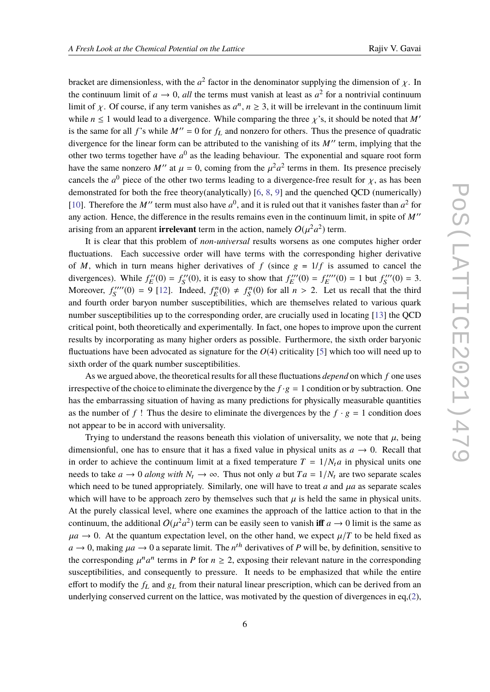bracket are dimensionless, with the *a*<sup>2</sup> factor in the denominator supplying the dimension of  $\chi$ . In the continuum limit of  $\epsilon_{\rm max} = 0$ , all the terms must variable at least  $\epsilon_{\rm max}$  as a positivity continuum the continuum limit of  $a \to 0$ , all the terms must vanish at least as  $a^2$  for a nontrivial continuum limit of  $\chi$ . Of course, if any term vanishes as  $a^n$ ,  $n \ge 3$ , it will be irrelevant in the continuum limit while  $n \leq 1$  would lead to a divergence. While comparing the three  $\chi$ 's, it should be noted that M' is the same for all *f*'s while  $M'' = 0$  for  $f_L$  and nonzero for others. Thus the presence of quadratic divergence for the linear form can be attributed to the vanishing of its  $M''$  term, implying that the other two terms together have  $a^0$  as the leading behaviour. The exponential and square root form have the same nonzero *M''* at  $\mu = 0$ , coming from the  $\mu^2 a^2$  terms in them. Its presence precisely cancels the *a*<sup>0</sup> piece of the other two terms leading to a divergence-free result for  $\chi$ , as has been<br>demonstrated for both the free theory (encluded),  $16, 8, 0$  and the symphod OCD (sympatically) demonstrated for both the free theory(analytically) [\[6,](#page-7-5) [8,](#page-7-7) [9\]](#page-7-8) and the quenched QCD (numerically) [\[10\]](#page-7-9). Therefore the *M''* term must also have  $a^0$ , and it is ruled out that it vanishes faster than  $a^2$  for any action. Hence, the difference in the results remains even in the continuum limit, in spite of M'' arising from an apparent **irrelevant** term in the action, namely  $O(\mu^2 a^2)$  term.

It is clear that this problem of *non-universal* results worsens as one computes higher order fluctuations. Each successive order will have terms with the corresponding higher derivative of *M*, which in turn means higher derivatives of *f* (since  $g = 1/f$  is assumed to cancel the divergences). While  $f_F^{\prime\prime}$  $E''(0) = f''_S$  $S'(0)$ , it is easy to show that  $f_E'''$  $E'''(0) = f_E''''$  $E'''(0) = 1$  but  $f''''$  $S'''(0) = 3.$ Moreover,  $f''''$  $S_{S}^{(m)}(0) = 9$  [\[12\]](#page-7-11). Indeed,  $f_{E}^{n}(0) \neq f_{S}^{n}(0)$  for all  $n > 2$ . Let us recall that the third and fourth order baryon number susceptibilities, which are themselves related to various quark number susceptibilities up to the corresponding order, are crucially used in locating [\[13\]](#page-7-12) the QCD critical point, both theoretically and experimentally. In fact, one hopes to improve upon the current results by incorporating as many higher orders as possible. Furthermore, the sixth order baryonic fluctuations have been advocated as signature for the *O*(4) criticality [\[5\]](#page-7-4) which too will need up to sixth order of the quark number susceptibilities.

As we argued above, the theoretical results for all these fluctuations *depend* on which *f* one uses irrespective of the choice to eliminate the divergence by the  $f \cdot g = 1$  condition or by subtraction. One has the embarrassing situation of having as many predictions for physically measurable quantities as the number of f! Thus the desire to eliminate the divergences by the  $f \cdot g = 1$  condition does not appear to be in accord with universality.

Trying to understand the reasons beneath this violation of universality, we note that  $\mu$ , being dimensionful, one has to ensure that it has a fixed value in physical units as  $a \rightarrow 0$ . Recall that in order to achieve the continuum limit at a fixed temperature  $T = 1/N_t a$  in physical units one needs to take  $a \rightarrow 0$  *along with*  $N_t \rightarrow \infty$ . Thus not only *a* but  $Ta = 1/N_t$  are two separate scales which need to be tuned appropriately. Similarly, one will have to treat  $a$  and  $\mu a$  as separate scales which will have to be approach zero by themselves such that  $\mu$  is held the same in physical units. At the purely classical level, where one examines the approach of the lattice action to that in the continuum, the additional  $O(\mu^2 a^2)$  term can be easily seen to vanish **iff**  $a \to 0$  limit is the same as  $\mu a \rightarrow 0$ . At the quantum expectation level, on the other hand, we expect  $\mu/T$  to be held fixed as  $a \to 0$ , making  $\mu a \to 0$  a separate limit. The  $n^{th}$  derivatives of *P* will be, by definition, sensitive to the corresponding  $\mu b$  terms in *P* for  $a > 2$ , expecting their relevant patters in the corresponding the corresponding  $\mu^n a^n$  terms in *P* for  $n \ge 2$ , exposing their relevant nature in the corresponding<br>exponentialities, and consequently to grassure. It needs to be emphasized that while the entire susceptibilities, and consequently to pressure. It needs to be emphasized that while the entire effort to modify the  $f_L$  and  $g_L$  from their natural linear prescription, which can be derived from an underlying conserved current on the lattice, was motivated by the question of divergences in eq,[\(2\)](#page-2-0),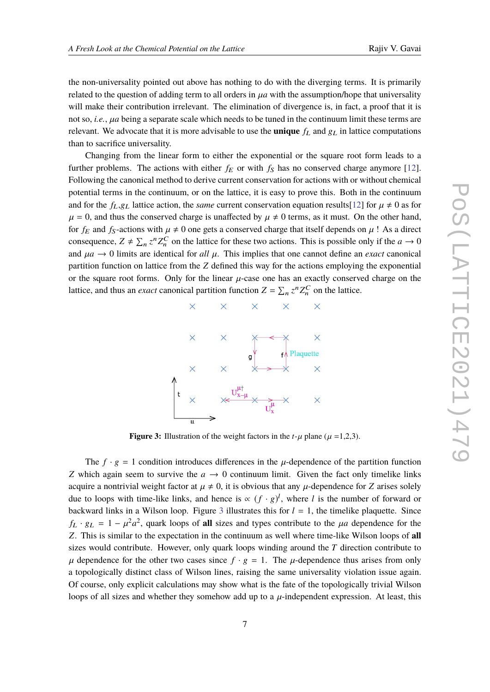the non-universality pointed out above has nothing to do with the diverging terms. It is primarily related to the question of adding term to all orders in  $\mu a$  with the assumption/hope that universality will make their contribution irrelevant. The elimination of divergence is, in fact, a proof that it is not so, *i.e.*,  $\mu a$  being a separate scale which needs to be tuned in the continuum limit these terms are relevant. We advocate that it is more advisable to use the **unique**  $f_L$  and  $g_L$  in lattice computations than to sacrifice universality.

Changing from the linear form to either the exponential or the square root form leads to a further problems. The actions with either  $f_E$  or with  $f_S$  has no conserved charge anymore [\[12\]](#page-7-11). Following the canonical method to derive current conservation for actions with or without chemical potential terms in the continuum, or on the lattice, it is easy to prove this. Both in the continuum and for the  $f_L,g_L$  lattice action, the *same* current conservation equation results[\[12\]](#page-7-11) for  $\mu \neq 0$  as for  $\mu = 0$ , and thus the conserved charge is unaffected by  $\mu \neq 0$  terms, as it must. On the other hand, for  $f_E$  and  $f_S$ -actions with  $\mu \neq 0$  one gets a conserved charge that itself depends on  $\mu$ ! As a direct consequence,  $Z \neq \sum_n z^n Z_n^C$  on the lattice for these two actions. This is possible only if the  $a \to 0$ and  $\mu a \rightarrow 0$  limits are identical for *all*  $\mu$ . This implies that one cannot define an *exact* canonical partition function on lattice from the *Z* defined this way for the actions employing the exponential or the square root forms. Only for the linear  $\mu$ -case one has an exactly conserved charge on the lattice, and thus an *exact* canonical partition function  $Z = \sum_n z^n Z_n^C$  on the lattice.

<span id="page-6-0"></span>

**Figure 3:** Illustration of the weight factors in the  $t-\mu$  plane ( $\mu =1,2,3$ ).

The  $f \cdot g = 1$  condition introduces differences in the  $\mu$ -dependence of the partition function *Z* which again seem to survive the  $a \rightarrow 0$  continuum limit. Given the fact only timelike links acquire a nontrivial weight factor at  $\mu \neq 0$ , it is obvious that any  $\mu$ -dependence for *Z* arises solely due to loops with time-like links, and hence is  $\propto (f \cdot g)^l$ , where *l* is the number of forward or backward links in a Wilson loop. Figure [3](#page-6-0) illustrates this for  $l = 1$ , the timelike plaquette. Since  $f_L \cdot g_L = 1 - \mu^2 a^2$ , quark loops of **all** sizes and types contribute to the  $\mu a$  dependence for the  $\mathbb{Z}$ . *Z*. This is similar to the expectation in the continuum as well where time-like Wilson loops of **all** sizes would contribute. However, only quark loops winding around the *T* direction contribute to  $\mu$  dependence for the other two cases since  $f \cdot g = 1$ . The  $\mu$ -dependence thus arises from only a topologically distinct class of Wilson lines, raising the same universality violation issue again. Of course, only explicit calculations may show what is the fate of the topologically trivial Wilson loops of all sizes and whether they somehow add up to a  $\mu$ -independent expression. At least, this